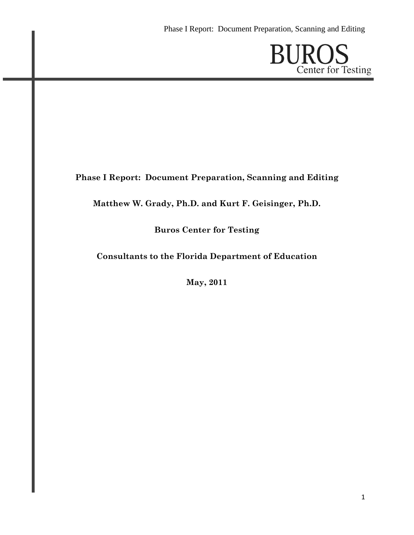**BUROS**<br>Center for Testing

# **Phase I Report: Document Preparation, Scanning and Editing**

## **Matthew W. Grady, Ph.D. and Kurt F. Geisinger, Ph.D.**

## **Buros Center for Testing**

### **Consultants to the Florida Department of Education**

**May, 2011**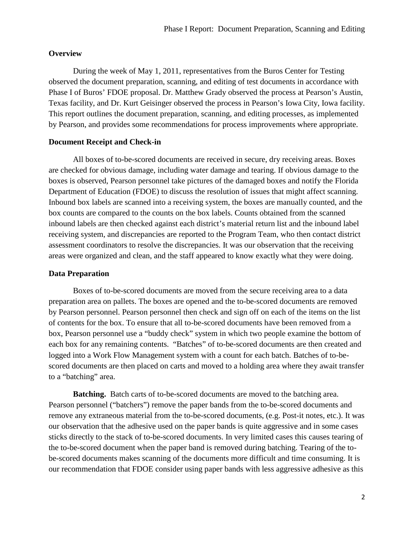#### **Overview**

During the week of May 1, 2011, representatives from the Buros Center for Testing observed the document preparation, scanning, and editing of test documents in accordance with Phase I of Buros' FDOE proposal. Dr. Matthew Grady observed the process at Pearson's Austin, Texas facility, and Dr. Kurt Geisinger observed the process in Pearson's Iowa City, Iowa facility. This report outlines the document preparation, scanning, and editing processes, as implemented by Pearson, and provides some recommendations for process improvements where appropriate.

#### **Document Receipt and Check-in**

All boxes of to-be-scored documents are received in secure, dry receiving areas. Boxes are checked for obvious damage, including water damage and tearing. If obvious damage to the boxes is observed, Pearson personnel take pictures of the damaged boxes and notify the Florida Department of Education (FDOE) to discuss the resolution of issues that might affect scanning. Inbound box labels are scanned into a receiving system, the boxes are manually counted, and the box counts are compared to the counts on the box labels. Counts obtained from the scanned inbound labels are then checked against each district's material return list and the inbound label receiving system, and discrepancies are reported to the Program Team, who then contact district assessment coordinators to resolve the discrepancies. It was our observation that the receiving areas were organized and clean, and the staff appeared to know exactly what they were doing.

#### **Data Preparation**

 Boxes of to-be-scored documents are moved from the secure receiving area to a data preparation area on pallets. The boxes are opened and the to-be-scored documents are removed by Pearson personnel. Pearson personnel then check and sign off on each of the items on the list of contents for the box. To ensure that all to-be-scored documents have been removed from a box, Pearson personnel use a "buddy check" system in which two people examine the bottom of each box for any remaining contents. "Batches" of to-be-scored documents are then created and logged into a Work Flow Management system with a count for each batch. Batches of to-bescored documents are then placed on carts and moved to a holding area where they await transfer to a "batching" area.

**Batching.** Batch carts of to-be-scored documents are moved to the batching area. Pearson personnel ("batchers") remove the paper bands from the to-be-scored documents and remove any extraneous material from the to-be-scored documents, (e.g. Post-it notes, etc.). It was our observation that the adhesive used on the paper bands is quite aggressive and in some cases sticks directly to the stack of to-be-scored documents. In very limited cases this causes tearing of the to-be-scored document when the paper band is removed during batching. Tearing of the tobe-scored documents makes scanning of the documents more difficult and time consuming. It is our recommendation that FDOE consider using paper bands with less aggressive adhesive as this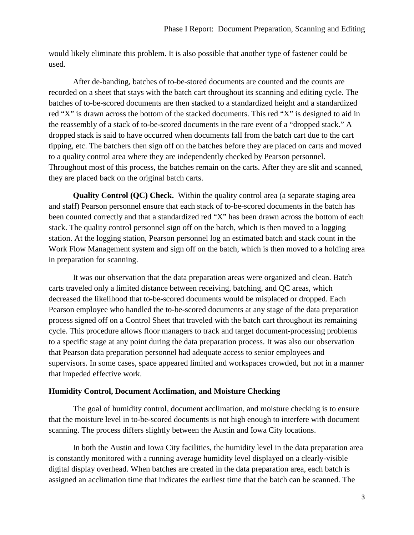would likely eliminate this problem. It is also possible that another type of fastener could be used.

After de-banding, batches of to-be-stored documents are counted and the counts are recorded on a sheet that stays with the batch cart throughout its scanning and editing cycle. The batches of to-be-scored documents are then stacked to a standardized height and a standardized red "X" is drawn across the bottom of the stacked documents. This red "X" is designed to aid in the reassembly of a stack of to-be-scored documents in the rare event of a "dropped stack." A dropped stack is said to have occurred when documents fall from the batch cart due to the cart tipping, etc. The batchers then sign off on the batches before they are placed on carts and moved to a quality control area where they are independently checked by Pearson personnel. Throughout most of this process, the batches remain on the carts. After they are slit and scanned, they are placed back on the original batch carts.

**Quality Control (QC) Check.** Within the quality control area (a separate staging area and staff) Pearson personnel ensure that each stack of to-be-scored documents in the batch has been counted correctly and that a standardized red "X" has been drawn across the bottom of each stack. The quality control personnel sign off on the batch, which is then moved to a logging station. At the logging station, Pearson personnel log an estimated batch and stack count in the Work Flow Management system and sign off on the batch, which is then moved to a holding area in preparation for scanning.

 It was our observation that the data preparation areas were organized and clean. Batch carts traveled only a limited distance between receiving, batching, and QC areas, which decreased the likelihood that to-be-scored documents would be misplaced or dropped. Each Pearson employee who handled the to-be-scored documents at any stage of the data preparation process signed off on a Control Sheet that traveled with the batch cart throughout its remaining cycle. This procedure allows floor managers to track and target document-processing problems to a specific stage at any point during the data preparation process. It was also our observation that Pearson data preparation personnel had adequate access to senior employees and supervisors. In some cases, space appeared limited and workspaces crowded, but not in a manner that impeded effective work.

### **Humidity Control, Document Acclimation, and Moisture Checking**

The goal of humidity control, document acclimation, and moisture checking is to ensure that the moisture level in to-be-scored documents is not high enough to interfere with document scanning. The process differs slightly between the Austin and Iowa City locations.

In both the Austin and Iowa City facilities, the humidity level in the data preparation area is constantly monitored with a running average humidity level displayed on a clearly-visible digital display overhead. When batches are created in the data preparation area, each batch is assigned an acclimation time that indicates the earliest time that the batch can be scanned. The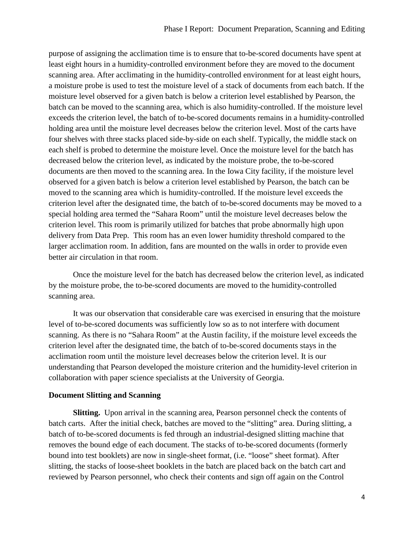purpose of assigning the acclimation time is to ensure that to-be-scored documents have spent at least eight hours in a humidity-controlled environment before they are moved to the document scanning area. After acclimating in the humidity-controlled environment for at least eight hours, a moisture probe is used to test the moisture level of a stack of documents from each batch. If the moisture level observed for a given batch is below a criterion level established by Pearson, the batch can be moved to the scanning area, which is also humidity-controlled. If the moisture level exceeds the criterion level, the batch of to-be-scored documents remains in a humidity-controlled holding area until the moisture level decreases below the criterion level. Most of the carts have four shelves with three stacks placed side-by-side on each shelf. Typically, the middle stack on each shelf is probed to determine the moisture level. Once the moisture level for the batch has decreased below the criterion level, as indicated by the moisture probe, the to-be-scored documents are then moved to the scanning area. In the Iowa City facility, if the moisture level observed for a given batch is below a criterion level established by Pearson, the batch can be moved to the scanning area which is humidity-controlled. If the moisture level exceeds the criterion level after the designated time, the batch of to-be-scored documents may be moved to a special holding area termed the "Sahara Room" until the moisture level decreases below the criterion level. This room is primarily utilized for batches that probe abnormally high upon delivery from Data Prep. This room has an even lower humidity threshold compared to the larger acclimation room. In addition, fans are mounted on the walls in order to provide even better air circulation in that room.

Once the moisture level for the batch has decreased below the criterion level, as indicated by the moisture probe, the to-be-scored documents are moved to the humidity-controlled scanning area.

It was our observation that considerable care was exercised in ensuring that the moisture level of to-be-scored documents was sufficiently low so as to not interfere with document scanning. As there is no "Sahara Room" at the Austin facility, if the moisture level exceeds the criterion level after the designated time, the batch of to-be-scored documents stays in the acclimation room until the moisture level decreases below the criterion level. It is our understanding that Pearson developed the moisture criterion and the humidity-level criterion in collaboration with paper science specialists at the University of Georgia.

### **Document Slitting and Scanning**

**Slitting.** Upon arrival in the scanning area, Pearson personnel check the contents of batch carts. After the initial check, batches are moved to the "slitting" area. During slitting, a batch of to-be-scored documents is fed through an industrial-designed slitting machine that removes the bound edge of each document. The stacks of to-be-scored documents (formerly bound into test booklets) are now in single-sheet format, (i.e. "loose" sheet format). After slitting, the stacks of loose-sheet booklets in the batch are placed back on the batch cart and reviewed by Pearson personnel, who check their contents and sign off again on the Control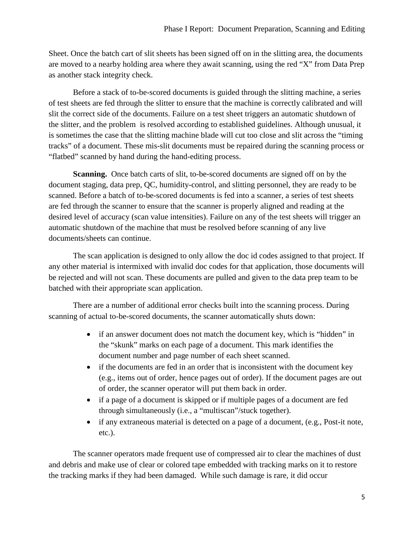Sheet. Once the batch cart of slit sheets has been signed off on in the slitting area, the documents are moved to a nearby holding area where they await scanning, using the red "X" from Data Prep as another stack integrity check.

Before a stack of to-be-scored documents is guided through the slitting machine, a series of test sheets are fed through the slitter to ensure that the machine is correctly calibrated and will slit the correct side of the documents. Failure on a test sheet triggers an automatic shutdown of the slitter, and the problem is resolved according to established guidelines. Although unusual, it is sometimes the case that the slitting machine blade will cut too close and slit across the "timing tracks" of a document. These mis-slit documents must be repaired during the scanning process or "flatbed" scanned by hand during the hand-editing process.

**Scanning.** Once batch carts of slit, to-be-scored documents are signed off on by the document staging, data prep, QC, humidity-control, and slitting personnel, they are ready to be scanned. Before a batch of to-be-scored documents is fed into a scanner, a series of test sheets are fed through the scanner to ensure that the scanner is properly aligned and reading at the desired level of accuracy (scan value intensities). Failure on any of the test sheets will trigger an automatic shutdown of the machine that must be resolved before scanning of any live documents/sheets can continue.

The scan application is designed to only allow the doc id codes assigned to that project. If any other material is intermixed with invalid doc codes for that application, those documents will be rejected and will not scan. These documents are pulled and given to the data prep team to be batched with their appropriate scan application.

There are a number of additional error checks built into the scanning process. During scanning of actual to-be-scored documents, the scanner automatically shuts down:

- if an answer document does not match the document key, which is "hidden" in the "skunk" marks on each page of a document. This mark identifies the document number and page number of each sheet scanned.
- if the documents are fed in an order that is inconsistent with the document key (e.g., items out of order, hence pages out of order). If the document pages are out of order, the scanner operator will put them back in order.
- if a page of a document is skipped or if multiple pages of a document are fed through simultaneously (i.e., a "multiscan"/stuck together).
- if any extraneous material is detected on a page of a document, (e.g., Post-it note, etc.).

The scanner operators made frequent use of compressed air to clear the machines of dust and debris and make use of clear or colored tape embedded with tracking marks on it to restore the tracking marks if they had been damaged. While such damage is rare, it did occur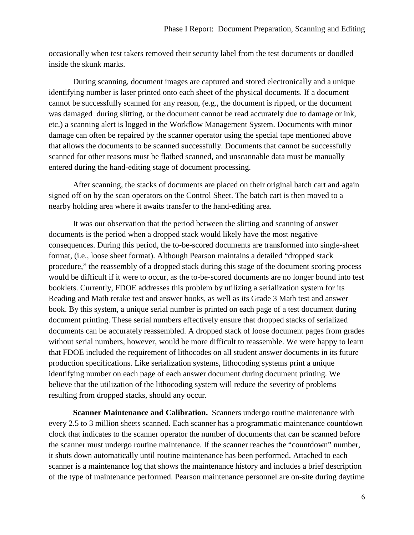occasionally when test takers removed their security label from the test documents or doodled inside the skunk marks.

During scanning, document images are captured and stored electronically and a unique identifying number is laser printed onto each sheet of the physical documents. If a document cannot be successfully scanned for any reason, (e.g., the document is ripped, or the document was damaged during slitting, or the document cannot be read accurately due to damage or ink, etc.) a scanning alert is logged in the Workflow Management System. Documents with minor damage can often be repaired by the scanner operator using the special tape mentioned above that allows the documents to be scanned successfully. Documents that cannot be successfully scanned for other reasons must be flatbed scanned, and unscannable data must be manually entered during the hand-editing stage of document processing.

After scanning, the stacks of documents are placed on their original batch cart and again signed off on by the scan operators on the Control Sheet. The batch cart is then moved to a nearby holding area where it awaits transfer to the hand-editing area.

It was our observation that the period between the slitting and scanning of answer documents is the period when a dropped stack would likely have the most negative consequences. During this period, the to-be-scored documents are transformed into single-sheet format, (i.e., loose sheet format). Although Pearson maintains a detailed "dropped stack procedure," the reassembly of a dropped stack during this stage of the document scoring process would be difficult if it were to occur, as the to-be-scored documents are no longer bound into test booklets. Currently, FDOE addresses this problem by utilizing a serialization system for its Reading and Math retake test and answer books, as well as its Grade 3 Math test and answer book. By this system, a unique serial number is printed on each page of a test document during document printing. These serial numbers effectively ensure that dropped stacks of serialized documents can be accurately reassembled. A dropped stack of loose document pages from grades without serial numbers, however, would be more difficult to reassemble. We were happy to learn that FDOE included the requirement of lithocodes on all student answer documents in its future production specifications. Like serialization systems, lithocoding systems print a unique identifying number on each page of each answer document during document printing. We believe that the utilization of the lithocoding system will reduce the severity of problems resulting from dropped stacks, should any occur.

**Scanner Maintenance and Calibration.** Scanners undergo routine maintenance with every 2.5 to 3 million sheets scanned. Each scanner has a programmatic maintenance countdown clock that indicates to the scanner operator the number of documents that can be scanned before the scanner must undergo routine maintenance. If the scanner reaches the "countdown" number, it shuts down automatically until routine maintenance has been performed. Attached to each scanner is a maintenance log that shows the maintenance history and includes a brief description of the type of maintenance performed. Pearson maintenance personnel are on-site during daytime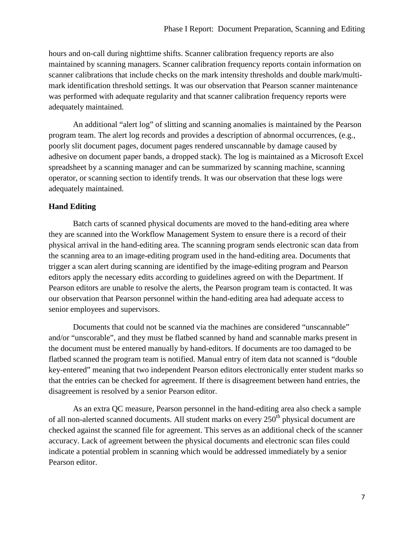hours and on-call during nighttime shifts. Scanner calibration frequency reports are also maintained by scanning managers. Scanner calibration frequency reports contain information on scanner calibrations that include checks on the mark intensity thresholds and double mark/multimark identification threshold settings. It was our observation that Pearson scanner maintenance was performed with adequate regularity and that scanner calibration frequency reports were adequately maintained.

An additional "alert log" of slitting and scanning anomalies is maintained by the Pearson program team. The alert log records and provides a description of abnormal occurrences, (e.g., poorly slit document pages, document pages rendered unscannable by damage caused by adhesive on document paper bands, a dropped stack). The log is maintained as a Microsoft Excel spreadsheet by a scanning manager and can be summarized by scanning machine, scanning operator, or scanning section to identify trends. It was our observation that these logs were adequately maintained.

### **Hand Editing**

Batch carts of scanned physical documents are moved to the hand-editing area where they are scanned into the Workflow Management System to ensure there is a record of their physical arrival in the hand-editing area. The scanning program sends electronic scan data from the scanning area to an image-editing program used in the hand-editing area. Documents that trigger a scan alert during scanning are identified by the image-editing program and Pearson editors apply the necessary edits according to guidelines agreed on with the Department. If Pearson editors are unable to resolve the alerts, the Pearson program team is contacted. It was our observation that Pearson personnel within the hand-editing area had adequate access to senior employees and supervisors.

Documents that could not be scanned via the machines are considered "unscannable" and/or "unscorable", and they must be flatbed scanned by hand and scannable marks present in the document must be entered manually by hand-editors. If documents are too damaged to be flatbed scanned the program team is notified. Manual entry of item data not scanned is "double key-entered" meaning that two independent Pearson editors electronically enter student marks so that the entries can be checked for agreement. If there is disagreement between hand entries, the disagreement is resolved by a senior Pearson editor.

As an extra QC measure, Pearson personnel in the hand-editing area also check a sample of all non-alerted scanned documents. All student marks on every 250<sup>th</sup> physical document are checked against the scanned file for agreement. This serves as an additional check of the scanner accuracy. Lack of agreement between the physical documents and electronic scan files could indicate a potential problem in scanning which would be addressed immediately by a senior Pearson editor.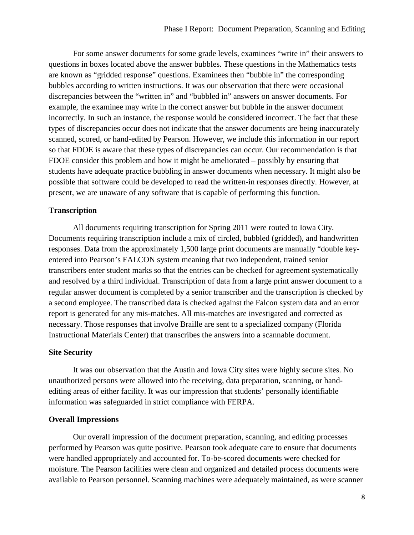For some answer documents for some grade levels, examinees "write in" their answers to questions in boxes located above the answer bubbles. These questions in the Mathematics tests are known as "gridded response" questions. Examinees then "bubble in" the corresponding bubbles according to written instructions. It was our observation that there were occasional discrepancies between the "written in" and "bubbled in" answers on answer documents. For example, the examinee may write in the correct answer but bubble in the answer document incorrectly. In such an instance, the response would be considered incorrect. The fact that these types of discrepancies occur does not indicate that the answer documents are being inaccurately scanned, scored, or hand-edited by Pearson. However, we include this information in our report so that FDOE is aware that these types of discrepancies can occur. Our recommendation is that FDOE consider this problem and how it might be ameliorated – possibly by ensuring that students have adequate practice bubbling in answer documents when necessary. It might also be possible that software could be developed to read the written-in responses directly. However, at present, we are unaware of any software that is capable of performing this function.

### **Transcription**

 All documents requiring transcription for Spring 2011 were routed to Iowa City. Documents requiring transcription include a mix of circled, bubbled (gridded), and handwritten responses. Data from the approximately 1,500 large print documents are manually "double keyentered into Pearson's FALCON system meaning that two independent, trained senior transcribers enter student marks so that the entries can be checked for agreement systematically and resolved by a third individual. Transcription of data from a large print answer document to a regular answer document is completed by a senior transcriber and the transcription is checked by a second employee. The transcribed data is checked against the Falcon system data and an error report is generated for any mis-matches. All mis-matches are investigated and corrected as necessary. Those responses that involve Braille are sent to a specialized company (Florida Instructional Materials Center) that transcribes the answers into a scannable document.

### **Site Security**

It was our observation that the Austin and Iowa City sites were highly secure sites. No unauthorized persons were allowed into the receiving, data preparation, scanning, or handediting areas of either facility. It was our impression that students' personally identifiable information was safeguarded in strict compliance with FERPA.

### **Overall Impressions**

 Our overall impression of the document preparation, scanning, and editing processes performed by Pearson was quite positive. Pearson took adequate care to ensure that documents were handled appropriately and accounted for. To-be-scored documents were checked for moisture. The Pearson facilities were clean and organized and detailed process documents were available to Pearson personnel. Scanning machines were adequately maintained, as were scanner